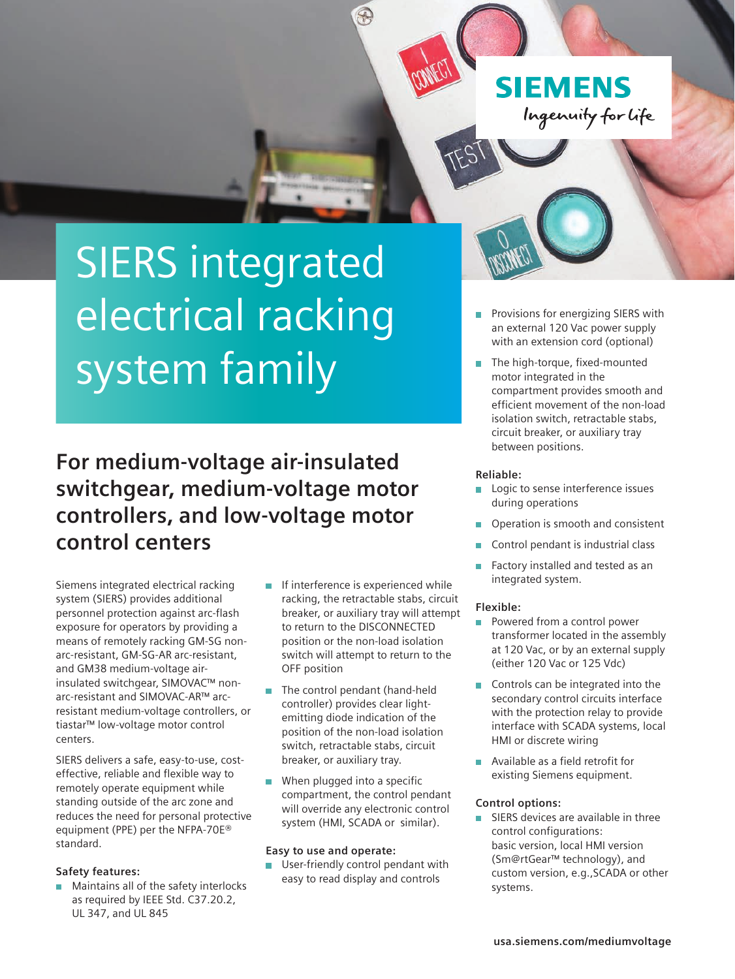**SIEMENS** Ingenuity for life

# SIERS integrated electrical racking system family

**For medium-voltage air-insulated switchgear, medium-voltage motor controllers, and low-voltage motor control centers** 

Siemens integrated electrical racking system (SIERS) provides additional personnel protection against arc-flash exposure for operators by providing a means of remotely racking GM-SG nonarc-resistant, GM-SG-AR arc-resistant, and GM38 medium-voltage airinsulated switchgear, SIMOVAC™ nonarc-resistant and SIMOVAC-AR™ arcresistant medium-voltage controllers, or tiastar™ low-voltage motor control centers.

SIERS delivers a safe, easy-to-use, costeffective, reliable and flexible way to remotely operate equipment while standing outside of the arc zone and reduces the need for personal protective equipment (PPE) per the NFPA-70E® standard.

### **Safety features:**

**Maintains all of the safety interlocks** as required by IEEE Std. C37.20.2, UL 347, and UL 845

 $\blacksquare$  If interference is experienced while racking, the retractable stabs, circuit breaker, or auxiliary tray will attempt to return to the DISCONNECTED position or the non-load isolation switch will attempt to return to the OFF position

F

- The control pendant (hand-held controller) provides clear lightemitting diode indication of the position of the non-load isolation switch, retractable stabs, circuit breaker, or auxiliary tray.
- **When plugged into a specific** compartment, the control pendant will override any electronic control system (HMI, SCADA or similar).

#### **Easy to use and operate:**

**User-friendly control pendant with** easy to read display and controls

- Provisions for energizing SIERS with  $\mathbf{r}$ an external 120 Vac power supply with an extension cord (optional)
- The high-torque, fixed-mounted motor integrated in the compartment provides smooth and efficient movement of the non-load isolation switch, retractable stabs, circuit breaker, or auxiliary tray between positions.

#### **Reliable:**

- **Logic to sense interference issues** during operations
- Operation is smooth and consistent
- Control pendant is industrial class
- $\blacksquare$ Factory installed and tested as an integrated system.

#### **Flexible:**

- **Powered from a control power** transformer located in the assembly at 120 Vac, or by an external supply (either 120 Vac or 125 Vdc)
- $\blacksquare$  Controls can be integrated into the secondary control circuits interface with the protection relay to provide interface with SCADA systems, local HMI or discrete wiring
- **Available as a field retrofit for** existing Siemens equipment.

#### **Control options:**

SIERS devices are available in three  $\blacksquare$ control configurations: basic version, local HMI version (Sm@rtGear™ technology), and custom version, e.g.,SCADA or other systems.